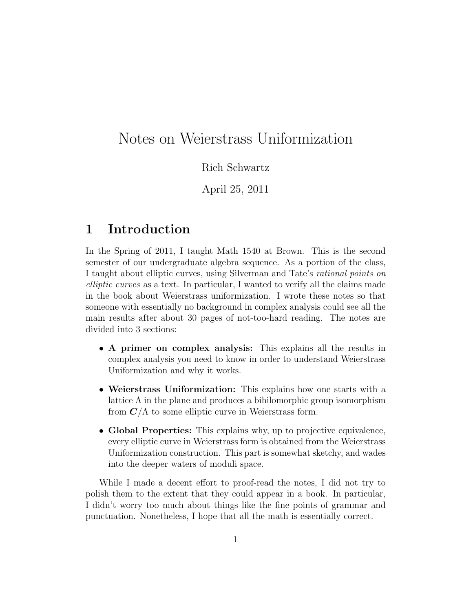# Notes on Weierstrass Uniformization

Rich Schwartz

April 25, 2011

## 1 Introduction

In the Spring of 2011, I taught Math 1540 at Brown. This is the second semester of our undergraduate algebra sequence. As a portion of the class, I taught about elliptic curves, using Silverman and Tate's rational points on elliptic curves as a text. In particular, I wanted to verify all the claims made in the book about Weierstrass uniformization. I wrote these notes so that someone with essentially no background in complex analysis could see all the main results after about 30 pages of not-too-hard reading. The notes are divided into 3 sections:

- A primer on complex analysis: This explains all the results in complex analysis you need to know in order to understand Weierstrass Uniformization and why it works.
- Weierstrass Uniformization: This explains how one starts with a lattice  $\Lambda$  in the plane and produces a bihilomorphic group isomorphism from  $C/\Lambda$  to some elliptic curve in Weierstrass form.
- Global Properties: This explains why, up to projective equivalence, every elliptic curve in Weierstrass form is obtained from the Weierstrass Uniformization construction. This part is somewhat sketchy, and wades into the deeper waters of moduli space.

While I made a decent effort to proof-read the notes, I did not try to polish them to the extent that they could appear in a book. In particular, I didn't worry too much about things like the fine points of grammar and punctuation. Nonetheless, I hope that all the math is essentially correct.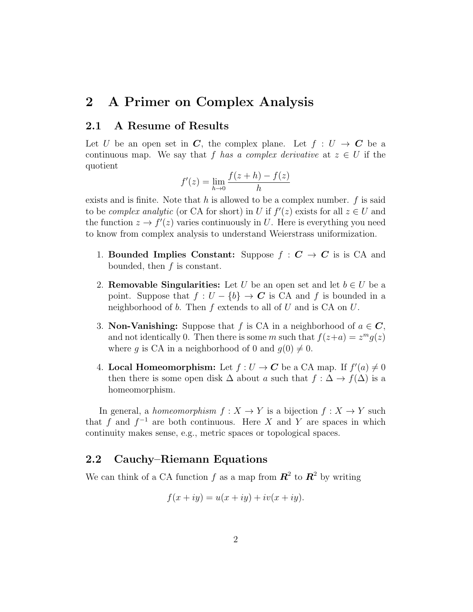## 2 A Primer on Complex Analysis

#### 2.1 A Resume of Results

Let U be an open set in C, the complex plane. Let  $f: U \to C$  be a continuous map. We say that f has a complex derivative at  $z \in U$  if the quotient

$$
f'(z) = \lim_{h \to 0} \frac{f(z+h) - f(z)}{h}
$$

exists and is finite. Note that h is allowed to be a complex number.  $f$  is said to be *complex analytic* (or CA for short) in U if  $f'(z)$  exists for all  $z \in U$  and the function  $z \to f'(z)$  varies continuously in U. Here is everything you need to know from complex analysis to understand Weierstrass uniformization.

- 1. Bounded Implies Constant: Suppose  $f : C \rightarrow C$  is is CA and bounded, then  $f$  is constant.
- 2. **Removable Singularities:** Let U be an open set and let  $b \in U$  be a point. Suppose that  $f: U - \{b\} \to \mathbb{C}$  is CA and f is bounded in a neighborhood of b. Then  $f$  extends to all of  $U$  and is  $CA$  on  $U$ .
- 3. **Non-Vanishing:** Suppose that f is CA in a neighborhood of  $a \in \mathbb{C}$ , and not identically 0. Then there is some m such that  $f(z+a) = z^m g(z)$ where q is CA in a neighborhood of 0 and  $q(0) \neq 0$ .
- 4. Local Homeomorphism: Let  $f: U \to \mathbb{C}$  be a CA map. If  $f'(a) \neq 0$ then there is some open disk  $\Delta$  about a such that  $f : \Delta \to f(\Delta)$  is a homeomorphism.

In general, a *homeomorphism*  $f: X \to Y$  is a bijection  $f: X \to Y$  such that f and  $f^{-1}$  are both continuous. Here X and Y are spaces in which continuity makes sense, e.g., metric spaces or topological spaces.

#### 2.2 Cauchy–Riemann Equations

We can think of a CA function f as a map from  $\mathbb{R}^2$  to  $\mathbb{R}^2$  by writing

$$
f(x+iy) = u(x+iy) + iv(x+iy).
$$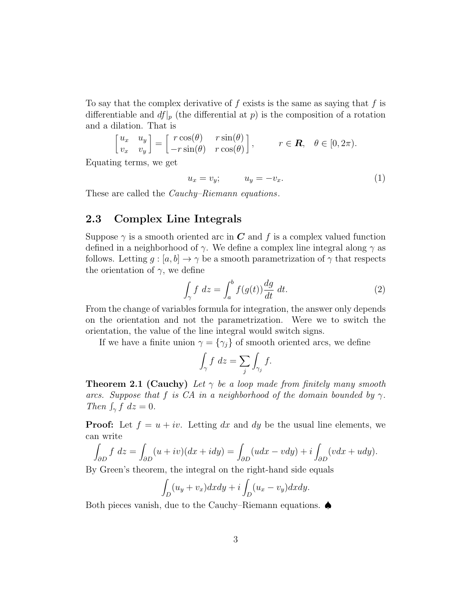To say that the complex derivative of  $f$  exists is the same as saying that  $f$  is differentiable and  $df|_p$  (the differential at p) is the composition of a rotation and a dilation. That is

$$
\begin{bmatrix} u_x & u_y \ v_x & v_y \end{bmatrix} = \begin{bmatrix} r\cos(\theta) & r\sin(\theta) \\ -r\sin(\theta) & r\cos(\theta) \end{bmatrix}, \qquad r \in \mathbf{R}, \quad \theta \in [0, 2\pi).
$$

Equating terms, we get

 $u_x = v_y;$   $u_y = -v_x.$  (1)

These are called the *Cauchy–Riemann equations*.

#### 2.3 Complex Line Integrals

Suppose  $\gamma$  is a smooth oriented arc in C and f is a complex valued function defined in a neighborhood of  $\gamma$ . We define a complex line integral along  $\gamma$  as follows. Letting  $g : [a, b] \to \gamma$  be a smooth parametrization of  $\gamma$  that respects the orientation of  $\gamma$ , we define

$$
\int_{\gamma} f \ dz = \int_{a}^{b} f(g(t)) \frac{dg}{dt} \ dt.
$$
 (2)

From the change of variables formula for integration, the answer only depends on the orientation and not the parametrization. Were we to switch the orientation, the value of the line integral would switch signs.

If we have a finite union  $\gamma = {\gamma_j}$  of smooth oriented arcs, we define

$$
\int_{\gamma} f \, dz = \sum_{j} \int_{\gamma_j} f.
$$

**Theorem 2.1 (Cauchy)** Let  $\gamma$  be a loop made from finitely many smooth arcs. Suppose that f is CA in a neighborhood of the domain bounded by  $\gamma$ . Then  $\int_{\gamma} f \, dz = 0$ .

**Proof:** Let  $f = u + iv$ . Letting dx and dy be the usual line elements, we can write

$$
\int_{\partial D} f \, dz = \int_{\partial D} (u + iv)(dx + idy) = \int_{\partial D} (udx - vdy) + i \int_{\partial D} (vdx + udy).
$$

By Green's theorem, the integral on the right-hand side equals

$$
\int_D (u_y + v_x) dx dy + i \int_D (u_x - v_y) dx dy.
$$

Both pieces vanish, due to the Cauchy–Riemann equations. ♠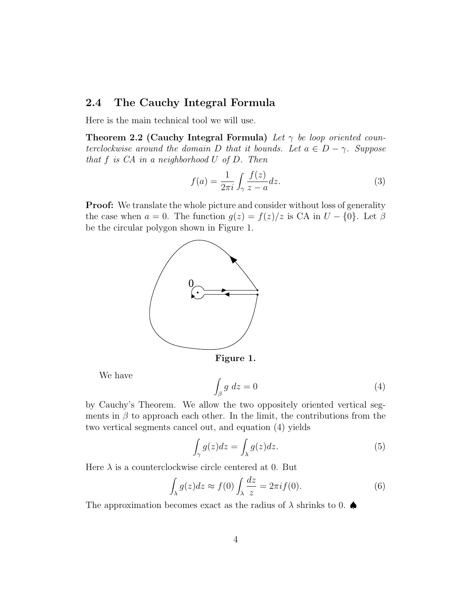## 2.4 The Cauchy Integral Formula

Here is the main technical tool we will use.

Theorem 2.2 (Cauchy Integral Formula) Let  $\gamma$  be loop oriented counterclockwise around the domain D that it bounds. Let  $a \in D - \gamma$ . Suppose that  $f$  is  $CA$  in a neighborhood  $U$  of  $D$ . Then

$$
f(a) = \frac{1}{2\pi i} \int_{\gamma} \frac{f(z)}{z - a} dz.
$$
 (3)

**Proof:** We translate the whole picture and consider without loss of generality the case when  $a = 0$ . The function  $g(z) = f(z)/z$  is CA in  $U - \{0\}$ . Let  $\beta$ be the circular polygon shown in Figure 1.



Figure 1.

We have

$$
\int_{\beta} g \ dz = 0 \tag{4}
$$

by Cauchy's Theorem. We allow the two oppositely oriented vertical segments in  $\beta$  to approach each other. In the limit, the contributions from the two vertical segments cancel out, and equation (4) yields

$$
\int_{\gamma} g(z)dz = \int_{\lambda} g(z)dz.
$$
\n(5)

Here  $\lambda$  is a counterclockwise circle centered at 0. But

$$
\int_{\lambda} g(z)dz \approx f(0) \int_{\lambda} \frac{dz}{z} = 2\pi i f(0). \tag{6}
$$

The approximation becomes exact as the radius of  $\lambda$  shrinks to 0.  $\spadesuit$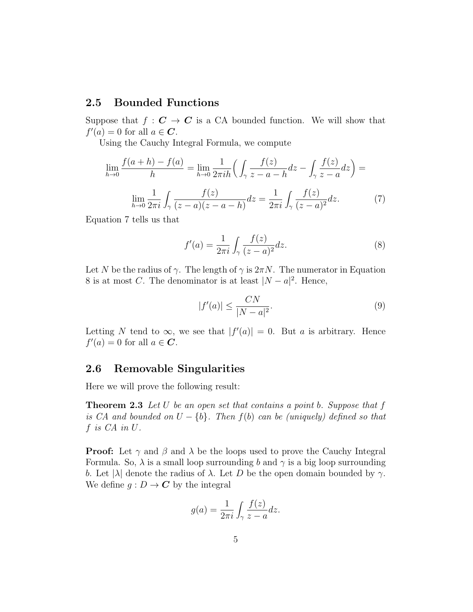## 2.5 Bounded Functions

Suppose that  $f: \mathbf{C} \to \mathbf{C}$  is a CA bounded function. We will show that  $f'(a) = 0$  for all  $a \in \mathbb{C}$ .

Using the Cauchy Integral Formula, we compute

$$
\lim_{h \to 0} \frac{f(a+h) - f(a)}{h} = \lim_{h \to 0} \frac{1}{2\pi i h} \left( \int_{\gamma} \frac{f(z)}{z - a - h} dz - \int_{\gamma} \frac{f(z)}{z - a} dz \right) =
$$

$$
\lim_{h \to 0} \frac{1}{2\pi i} \int_{\gamma} \frac{f(z)}{(z - a)(z - a - h)} dz = \frac{1}{2\pi i} \int_{\gamma} \frac{f(z)}{(z - a)^2} dz.
$$
(7)

Equation 7 tells us that

$$
f'(a) = \frac{1}{2\pi i} \int_{\gamma} \frac{f(z)}{(z-a)^2} dz.
$$
 (8)

Let N be the radius of  $\gamma$ . The length of  $\gamma$  is  $2\pi N$ . The numerator in Equation 8 is at most C. The denominator is at least  $|N - a|^2$ . Hence,

$$
|f'(a)| \le \frac{CN}{|N-a|^2}.\tag{9}
$$

Letting N tend to  $\infty$ , we see that  $|f'(a)| = 0$ . But a is arbitrary. Hence  $f'(a) = 0$  for all  $a \in \mathbb{C}$ .

## 2.6 Removable Singularities

Here we will prove the following result:

**Theorem 2.3** Let U be an open set that contains a point b. Suppose that  $f$ is CA and bounded on  $U - \{b\}$ . Then  $f(b)$  can be (uniquely) defined so that f is CA in U.

**Proof:** Let  $\gamma$  and  $\beta$  and  $\lambda$  be the loops used to prove the Cauchy Integral Formula. So,  $\lambda$  is a small loop surrounding b and  $\gamma$  is a big loop surrounding b. Let  $|\lambda|$  denote the radius of  $\lambda$ . Let D be the open domain bounded by  $\gamma$ . We define  $q: D \to \mathbb{C}$  by the integral

$$
g(a) = \frac{1}{2\pi i} \int_{\gamma} \frac{f(z)}{z - a} dz.
$$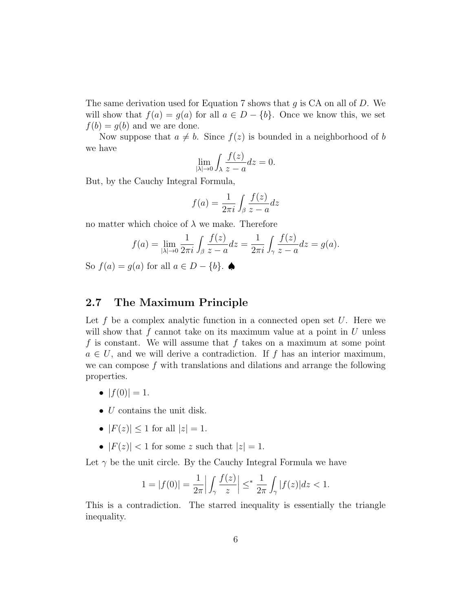The same derivation used for Equation 7 shows that g is  $CA$  on all of D. We will show that  $f(a) = g(a)$  for all  $a \in D - \{b\}$ . Once we know this, we set  $f(b) = g(b)$  and we are done.

Now suppose that  $a \neq b$ . Since  $f(z)$  is bounded in a neighborhood of b we have

$$
\lim_{|\lambda| \to 0} \int_{\lambda} \frac{f(z)}{z - a} dz = 0.
$$

But, by the Cauchy Integral Formula,

$$
f(a) = \frac{1}{2\pi i} \int_{\beta} \frac{f(z)}{z - a} dz
$$

no matter which choice of  $\lambda$  we make. Therefore

$$
f(a) = \lim_{|\lambda| \to 0} \frac{1}{2\pi i} \int_{\beta} \frac{f(z)}{z - a} dz = \frac{1}{2\pi i} \int_{\gamma} \frac{f(z)}{z - a} dz = g(a).
$$

So  $f(a) = g(a)$  for all  $a \in D - \{b\}$ .

## 2.7 The Maximum Principle

Let f be a complex analytic function in a connected open set  $U$ . Here we will show that  $f$  cannot take on its maximum value at a point in  $U$  unless f is constant. We will assume that f takes on a maximum at some point  $a \in U$ , and we will derive a contradiction. If f has an interior maximum, we can compose  $f$  with translations and dilations and arrange the following properties.

- $|f(0)| = 1$ .
- *U* contains the unit disk.
- $|F(z)| \le 1$  for all  $|z| = 1$ .
- $|F(z)| < 1$  for some z such that  $|z| = 1$ .

Let  $\gamma$  be the unit circle. By the Cauchy Integral Formula we have

$$
1 = |f(0)| = \frac{1}{2\pi} \left| \int_{\gamma} \frac{f(z)}{z} \right| \leq^* \frac{1}{2\pi} \int_{\gamma} |f(z)| dz < 1.
$$

This is a contradiction. The starred inequality is essentially the triangle inequality.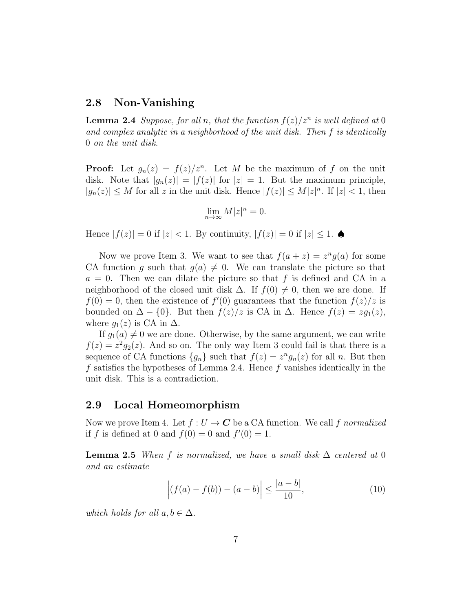#### 2.8 Non-Vanishing

**Lemma 2.4** Suppose, for all n, that the function  $f(z)/z^n$  is well defined at 0 and complex analytic in a neighborhood of the unit disk. Then f is identically 0 on the unit disk.

**Proof:** Let  $g_n(z) = f(z)/z^n$ . Let M be the maximum of f on the unit disk. Note that  $|g_n(z)| = |f(z)|$  for  $|z| = 1$ . But the maximum principle,  $|g_n(z)| \leq M$  for all z in the unit disk. Hence  $|f(z)| \leq M |z|^n$ . If  $|z| < 1$ , then

$$
\lim_{n\to\infty}M|z|^n=0.
$$

Hence  $|f(z)| = 0$  if  $|z| < 1$ . By continuity,  $|f(z)| = 0$  if  $|z| \leq 1$ .

Now we prove Item 3. We want to see that  $f(a+z) = z^n g(a)$  for some CA function g such that  $g(a) \neq 0$ . We can translate the picture so that  $a = 0$ . Then we can dilate the picture so that f is defined and CA in a neighborhood of the closed unit disk  $\Delta$ . If  $f(0) \neq 0$ , then we are done. If  $f(0) = 0$ , then the existence of  $f'(0)$  guarantees that the function  $f(z)/z$  is bounded on  $\Delta - \{0\}$ . But then  $f(z)/z$  is CA in  $\Delta$ . Hence  $f(z) = zg_1(z)$ , where  $g_1(z)$  is CA in  $\Delta$ .

If  $g_1(a) \neq 0$  we are done. Otherwise, by the same argument, we can write  $f(z) = z^2 g_2(z)$ . And so on. The only way Item 3 could fail is that there is a sequence of CA functions  ${g_n}$  such that  $f(z) = z^n g_n(z)$  for all n. But then f satisfies the hypotheses of Lemma 2.4. Hence f vanishes identically in the unit disk. This is a contradiction.

## 2.9 Local Homeomorphism

Now we prove Item 4. Let  $f: U \to \mathbb{C}$  be a CA function. We call f normalized if f is defined at 0 and  $f(0) = 0$  and  $f'(0) = 1$ .

**Lemma 2.5** When f is normalized, we have a small disk  $\Delta$  centered at 0 and an estimate

$$
\left| (f(a) - f(b)) - (a - b) \right| \le \frac{|a - b|}{10}, \tag{10}
$$

which holds for all  $a, b \in \Delta$ .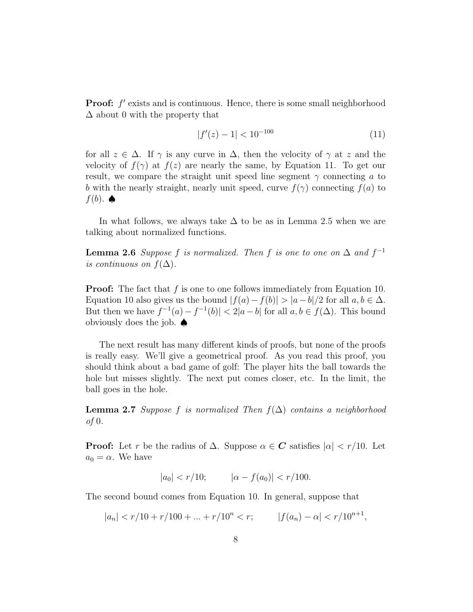**Proof:**  $f'$  exists and is continuous. Hence, there is some small neighborhood  $\Delta$  about 0 with the property that

$$
|f'(z) - 1| < 10^{-100} \tag{11}
$$

for all  $z \in \Delta$ . If  $\gamma$  is any curve in  $\Delta$ , then the velocity of  $\gamma$  at z and the velocity of  $f(\gamma)$  at  $f(z)$  are nearly the same, by Equation 11. To get our result, we compare the straight unit speed line segment  $\gamma$  connecting a to b with the nearly straight, nearly unit speed, curve  $f(\gamma)$  connecting  $f(a)$  to  $f(b)$ .  $\spadesuit$ 

In what follows, we always take  $\Delta$  to be as in Lemma 2.5 when we are talking about normalized functions.

**Lemma 2.6** Suppose f is normalized. Then f is one to one on  $\Delta$  and  $f^{-1}$ is continuous on  $f(\Delta)$ .

**Proof:** The fact that f is one to one follows immediately from Equation 10. Equation 10 also gives us the bound  $|f(a)-f(b)| > |a-b|/2$  for all  $a, b \in \Delta$ . But then we have  $f^{-1}(a) - f^{-1}(b) < 2|a - b|$  for all  $a, b \in f(\Delta)$ . This bound obviously does the job. ♠

The next result has many different kinds of proofs, but none of the proofs is really easy. We'll give a geometrical proof. As you read this proof, you should think about a bad game of golf: The player hits the ball towards the hole but misses slightly. The next put comes closer, etc. In the limit, the ball goes in the hole.

**Lemma 2.7** Suppose f is normalized Then  $f(\Delta)$  contains a neighborhood of 0.

**Proof:** Let r be the radius of  $\Delta$ . Suppose  $\alpha \in \mathbb{C}$  satisfies  $|\alpha| < r/10$ . Let  $a_0 = \alpha$ . We have

$$
|a_0| < r/10; \qquad |\alpha - f(a_0)| < r/100.
$$

The second bound comes from Equation 10. In general, suppose that

$$
|a_n| < r/10 + r/100 + \ldots + r/10^n < r; \qquad |f(a_n) - \alpha| < r/10^{n+1},
$$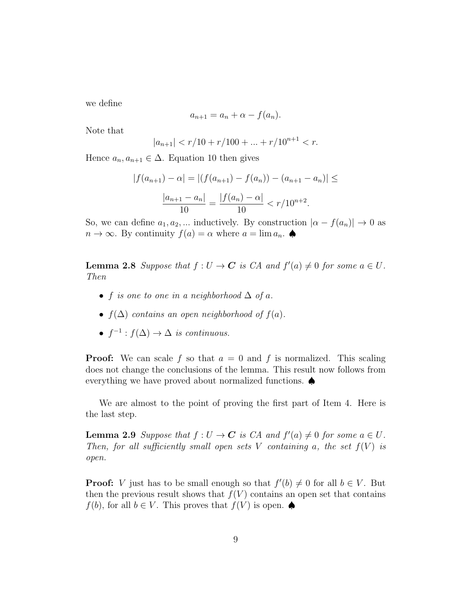we define

$$
a_{n+1} = a_n + \alpha - f(a_n).
$$

Note that

$$
|a_{n+1}| < r/10 + r/100 + \dots + r/10^{n+1} < r.
$$

Hence  $a_n, a_{n+1} \in \Delta$ . Equation 10 then gives

$$
|f(a_{n+1}) - \alpha| = |(f(a_{n+1}) - f(a_n)) - (a_{n+1} - a_n)| \le
$$

$$
\frac{|a_{n+1} - a_n|}{10} = \frac{|f(a_n) - \alpha|}{10} < r/10^{n+2}.
$$

So, we can define  $a_1, a_2, ...$  inductively. By construction  $|\alpha - f(a_n)| \to 0$  as  $n \to \infty$ . By continuity  $f(a) = \alpha$  where  $a = \lim a_n$ .

**Lemma 2.8** Suppose that  $f: U \to \mathbb{C}$  is CA and  $f'(a) \neq 0$  for some  $a \in U$ . Then

- f is one to one in a neighborhood  $\Delta$  of a.
- $f(\Delta)$  contains an open neighborhood of  $f(a)$ .
- $f^{-1}: f(\Delta) \to \Delta$  is continuous.

**Proof:** We can scale f so that  $a = 0$  and f is normalized. This scaling does not change the conclusions of the lemma. This result now follows from everything we have proved about normalized functions. ♠

We are almost to the point of proving the first part of Item 4. Here is the last step.

**Lemma 2.9** Suppose that  $f: U \to \mathbb{C}$  is  $CA$  and  $f'(a) \neq 0$  for some  $a \in U$ . Then, for all sufficiently small open sets V containing a, the set  $f(V)$  is open.

**Proof:** V just has to be small enough so that  $f'(b) \neq 0$  for all  $b \in V$ . But then the previous result shows that  $f(V)$  contains an open set that contains  $f(b)$ , for all  $b \in V$ . This proves that  $f(V)$  is open.  $\spadesuit$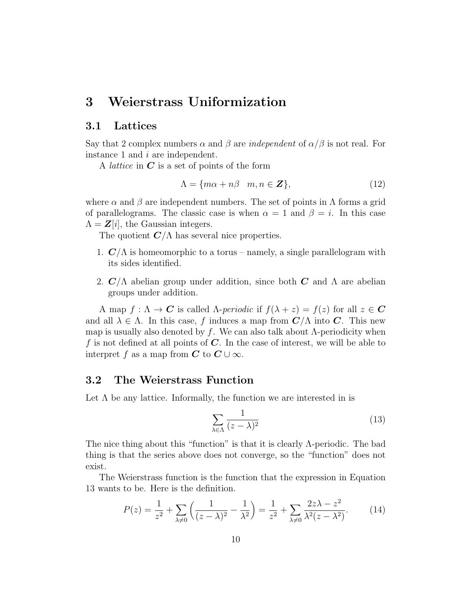## 3 Weierstrass Uniformization

#### 3.1 Lattices

Say that 2 complex numbers  $\alpha$  and  $\beta$  are *independent* of  $\alpha/\beta$  is not real. For instance 1 and i are independent.

A *lattice* in  $C$  is a set of points of the form

$$
\Lambda = \{ m\alpha + n\beta \mid m, n \in \mathbb{Z} \},\tag{12}
$$

where  $\alpha$  and  $\beta$  are independent numbers. The set of points in  $\Lambda$  forms a grid of parallelograms. The classic case is when  $\alpha = 1$  and  $\beta = i$ . In this case  $\Lambda = \mathbf{Z}[i]$ , the Gaussian integers.

The quotient  $C/\Lambda$  has several nice properties.

- 1.  $\mathbb{C}/\Lambda$  is homeomorphic to a torus namely, a single parallelogram with its sides identified.
- 2.  $\mathcal{C}/\Lambda$  abelian group under addition, since both C and  $\Lambda$  are abelian groups under addition.

A map  $f: \Lambda \to \mathbf{C}$  is called  $\Lambda$ -periodic if  $f(\lambda + z) = f(z)$  for all  $z \in \mathbf{C}$ and all  $\lambda \in \Lambda$ . In this case, f induces a map from  $\mathbb{C}/\Lambda$  into  $\mathbb{C}$ . This new map is usually also denoted by f. We can also talk about  $\Lambda$ -periodicity when f is not defined at all points of  $C$ . In the case of interest, we will be able to interpret f as a map from  $C$  to  $C \cup \infty$ .

#### 3.2 The Weierstrass Function

Let  $\Lambda$  be any lattice. Informally, the function we are interested in is

$$
\sum_{\lambda \in \Lambda} \frac{1}{(z - \lambda)^2} \tag{13}
$$

The nice thing about this "function" is that it is clearly Λ-periodic. The bad thing is that the series above does not converge, so the "function" does not exist.

The Weierstrass function is the function that the expression in Equation 13 wants to be. Here is the definition.

$$
P(z) = \frac{1}{z^2} + \sum_{\lambda \neq 0} \left( \frac{1}{(z - \lambda)^2} - \frac{1}{\lambda^2} \right) = \frac{1}{z^2} + \sum_{\lambda \neq 0} \frac{2z\lambda - z^2}{\lambda^2 (z - \lambda^2)}.
$$
 (14)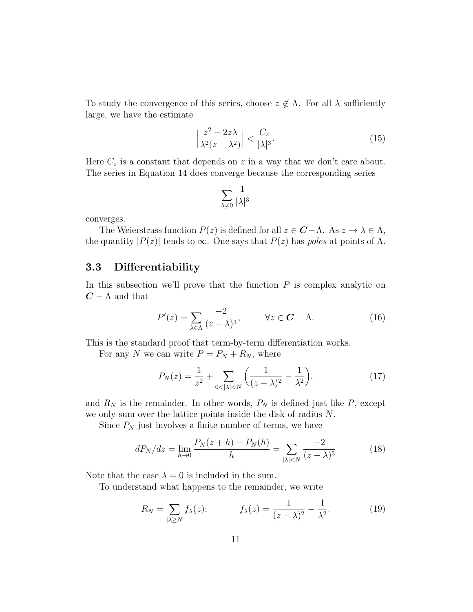To study the convergence of this series, choose  $z \notin \Lambda$ . For all  $\lambda$  sufficiently large, we have the estimate

$$
\left|\frac{z^2 - 2z\lambda}{\lambda^2 (z - \lambda^2)}\right| < \frac{C_z}{|\lambda|^3}.\tag{15}
$$

Here  $C_z$  is a constant that depends on z in a way that we don't care about. The series in Equation 14 does converge because the corresponding series

$$
\sum_{\lambda\neq 0}\frac{1}{|\lambda|^3}
$$

converges.

The Weierstrass function  $P(z)$  is defined for all  $z \in \mathbf{C} - \Lambda$ . As  $z \to \lambda \in \Lambda$ , the quantity  $|P(z)|$  tends to  $\infty$ . One says that  $P(z)$  has poles at points of  $\Lambda$ .

## 3.3 Differentiability

In this subsection we'll prove that the function  $P$  is complex analytic on  $C - \Lambda$  and that

$$
P'(z) = \sum_{\lambda \in \Lambda} \frac{-2}{(z - \lambda)^3}, \qquad \forall z \in \mathbf{C} - \Lambda.
$$
 (16)

This is the standard proof that term-by-term differentiation works.

For any N we can write  $P = P_N + R_N$ , where

$$
P_N(z) = \frac{1}{z^2} + \sum_{0 < |\lambda| < N} \left( \frac{1}{(z - \lambda)^2} - \frac{1}{\lambda^2} \right). \tag{17}
$$

and  $R_N$  is the remainder. In other words,  $P_N$  is defined just like P, except we only sum over the lattice points inside the disk of radius N.

Since  $P_N$  just involves a finite number of terms, we have

$$
dP_N/dz = \lim_{h \to 0} \frac{P_N(z+h) - P_N(h)}{h} = \sum_{|\lambda| < N} \frac{-2}{(z-\lambda)^3} \tag{18}
$$

Note that the case  $\lambda = 0$  is included in the sum.

To understand what happens to the remainder, we write

$$
R_N = \sum_{|\lambda \ge N} f_{\lambda}(z); \qquad f_{\lambda}(z) = \frac{1}{(z-\lambda)^2} - \frac{1}{\lambda^2}.
$$
 (19)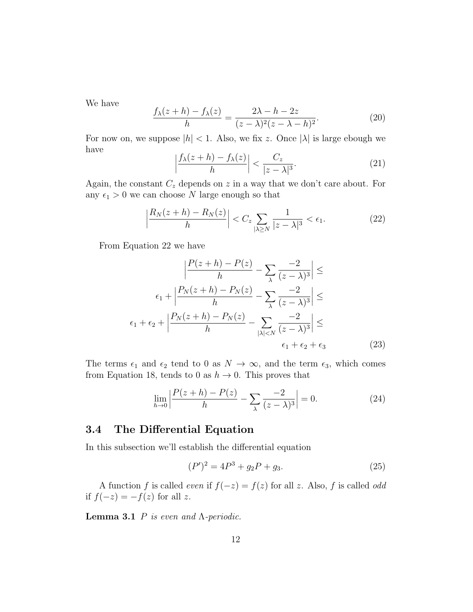We have

$$
\frac{f_{\lambda}(z+h) - f_{\lambda}(z)}{h} = \frac{2\lambda - h - 2z}{(z - \lambda)^2 (z - \lambda - h)^2}.
$$
 (20)

For now on, we suppose  $|h| < 1$ . Also, we fix z. Once  $|\lambda|$  is large ebough we have

$$
\left|\frac{f_{\lambda}(z+h)-f_{\lambda}(z)}{h}\right| < \frac{C_z}{|z-\lambda|^3}.\tag{21}
$$

Again, the constant  $C_z$  depends on z in a way that we don't care about. For any  $\epsilon_1 > 0$  we can choose N large enough so that

$$
\left|\frac{R_N(z+h) - R_N(z)}{h}\right| < C_z \sum_{|\lambda \ge N} \frac{1}{|z - \lambda|^3} < \epsilon_1. \tag{22}
$$

From Equation 22 we have

$$
\left|\frac{P(z+h) - P(z)}{h} - \sum_{\lambda} \frac{-2}{(z-\lambda)^3}\right| \le
$$

$$
\epsilon_1 + \left|\frac{P_N(z+h) - P_N(z)}{h} - \sum_{\lambda} \frac{-2}{(z-\lambda)^3}\right| \le
$$

$$
\epsilon_1 + \epsilon_2 + \left|\frac{P_N(z+h) - P_N(z)}{h} - \sum_{|\lambda| < N} \frac{-2}{(z-\lambda)^3}\right| \le
$$

$$
\epsilon_1 + \epsilon_2 + \epsilon_3 \tag{23}
$$

The terms  $\epsilon_1$  and  $\epsilon_2$  tend to 0 as  $N \to \infty$ , and the term  $\epsilon_3$ , which comes from Equation 18, tends to 0 as  $h \to 0$ . This proves that

$$
\lim_{h \to 0} \left| \frac{P(z+h) - P(z)}{h} - \sum_{\lambda} \frac{-2}{(z-\lambda)^3} \right| = 0.
$$
 (24)

## 3.4 The Differential Equation

In this subsection we'll establish the differential equation

$$
(P')^2 = 4P^3 + g_2P + g_3. \t\t(25)
$$

A function f is called *even* if  $f(-z) = f(z)$  for all z. Also, f is called *odd* if  $f(-z) = -f(z)$  for all z.

**Lemma 3.1** P is even and  $\Lambda$ -periodic.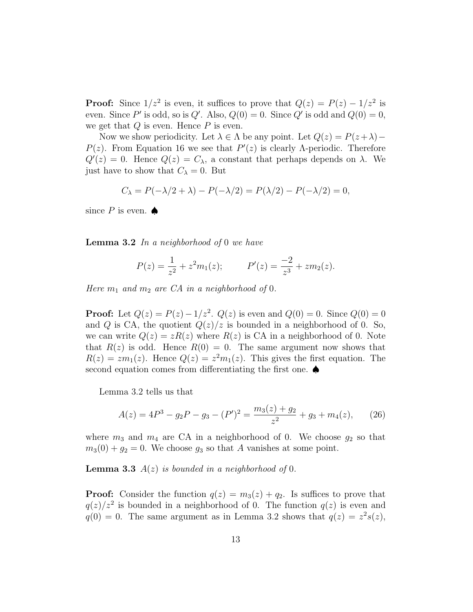**Proof:** Since  $1/z^2$  is even, it suffices to prove that  $Q(z) = P(z) - 1/z^2$  is even. Since P' is odd, so is Q'. Also,  $Q(0) = 0$ . Since Q' is odd and  $Q(0) = 0$ , we get that  $Q$  is even. Hence  $P$  is even.

Now we show periodicity. Let  $\lambda \in \Lambda$  be any point. Let  $Q(z) = P(z+\lambda) P(z)$ . From Equation 16 we see that  $P'(z)$  is clearly  $\Lambda$ -periodic. Therefore  $Q'(z) = 0$ . Hence  $Q(z) = C_{\lambda}$ , a constant that perhaps depends on  $\lambda$ . We just have to show that  $C_{\lambda} = 0$ . But

$$
C_{\lambda} = P(-\lambda/2 + \lambda) - P(-\lambda/2) = P(\lambda/2) - P(-\lambda/2) = 0,
$$

since  $P$  is even.  $\spadesuit$ 

**Lemma 3.2** In a neighborhood of 0 we have

$$
P(z) = \frac{1}{z^2} + z^2 m_1(z);
$$
  $P'(z) = \frac{-2}{z^3} + zm_2(z).$ 

Here  $m_1$  and  $m_2$  are CA in a neighborhood of 0.

**Proof:** Let  $Q(z) = P(z) - 1/z^2$ .  $Q(z)$  is even and  $Q(0) = 0$ . Since  $Q(0) = 0$ and Q is CA, the quotient  $Q(z)/z$  is bounded in a neighborhood of 0. So, we can write  $Q(z) = zR(z)$  where  $R(z)$  is CA in a neighborhood of 0. Note that  $R(z)$  is odd. Hence  $R(0) = 0$ . The same argument now shows that  $R(z) = zm_1(z)$ . Hence  $Q(z) = z^2m_1(z)$ . This gives the first equation. The second equation comes from differentiating the first one. ♦

Lemma 3.2 tells us that

$$
A(z) = 4P3 - g2P - g3 - (P')2 = \frac{m_3(z) + g_2}{z2} + g_3 + m_4(z),
$$
 (26)

where  $m_3$  and  $m_4$  are CA in a neighborhood of 0. We choose  $g_2$  so that  $m_3(0) + g_2 = 0$ . We choose  $g_3$  so that A vanishes at some point.

**Lemma 3.3**  $A(z)$  is bounded in a neighborhood of 0.

**Proof:** Consider the function  $q(z) = m_3(z) + q_2$ . Is suffices to prove that  $q(z)/z^2$  is bounded in a neighborhood of 0. The function  $q(z)$  is even and  $q(0) = 0$ . The same argument as in Lemma 3.2 shows that  $q(z) = z^2 s(z)$ ,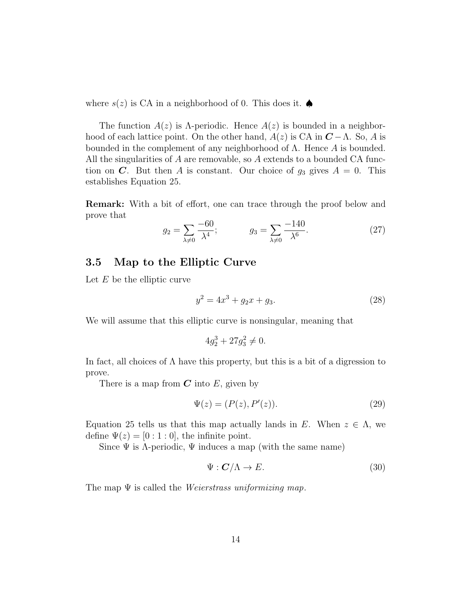where  $s(z)$  is CA in a neighborhood of 0. This does it.  $\spadesuit$ 

The function  $A(z)$  is  $\Lambda$ -periodic. Hence  $A(z)$  is bounded in a neighborhood of each lattice point. On the other hand,  $A(z)$  is CA in  $C - \Lambda$ . So, A is bounded in the complement of any neighborhood of  $\Lambda$ . Hence A is bounded. All the singularities of A are removable, so A extends to a bounded CA function on C. But then A is constant. Our choice of  $g_3$  gives  $A = 0$ . This establishes Equation 25.

Remark: With a bit of effort, one can trace through the proof below and prove that −140

$$
g_2 = \sum_{\lambda \neq 0} \frac{-60}{\lambda^4}; \qquad \qquad g_3 = \sum_{\lambda \neq 0} \frac{-140}{\lambda^6}.
$$
 (27)

## 3.5 Map to the Elliptic Curve

Let  $E$  be the elliptic curve

$$
y^2 = 4x^3 + g_2x + g_3. \tag{28}
$$

We will assume that this elliptic curve is nonsingular, meaning that

$$
4g_2^3 + 27g_3^2 \neq 0.
$$

In fact, all choices of  $\Lambda$  have this property, but this is a bit of a digression to prove.

There is a map from  $C$  into  $E$ , given by

$$
\Psi(z) = (P(z), P'(z)).
$$
\n(29)

Equation 25 tells us that this map actually lands in E. When  $z \in \Lambda$ , we define  $\Psi(z) = [0:1:0]$ , the infinite point.

Since  $\Psi$  is  $\Lambda$ -periodic,  $\Psi$  induces a map (with the same name)

$$
\Psi : \mathbf{C}/\Lambda \to E. \tag{30}
$$

The map  $\Psi$  is called the *Weierstrass uniformizing map*.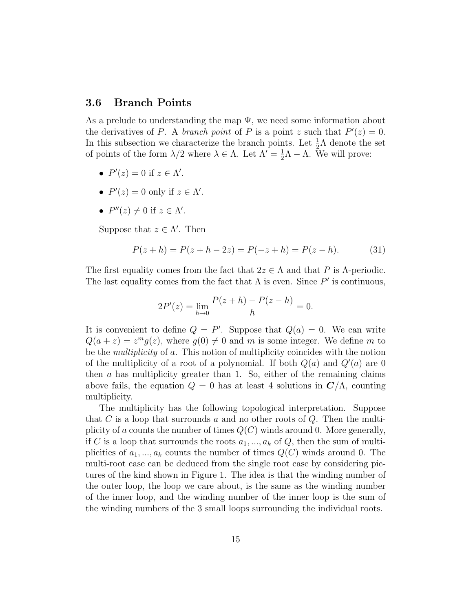#### 3.6 Branch Points

As a prelude to understanding the map  $\Psi$ , we need some information about the derivatives of P. A branch point of P is a point z such that  $P'(z) = 0$ . In this subsection we characterize the branch points. Let  $\frac{1}{2}\Lambda$  denote the set of points of the form  $\lambda/2$  where  $\lambda \in \Lambda$ . Let  $\Lambda' = \frac{1}{2}$  $\frac{1}{2}\Lambda - \Lambda$ . We will prove:

- $P'(z) = 0$  if  $z \in \Lambda'$ .
- $P'(z) = 0$  only if  $z \in \Lambda'$ .
- $P''(z) \neq 0$  if  $z \in \Lambda'$ .

Suppose that  $z \in \Lambda'$ . Then

$$
P(z+h) = P(z+h-2z) = P(-z+h) = P(z-h).
$$
 (31)

The first equality comes from the fact that  $2z \in \Lambda$  and that P is  $\Lambda$ -periodic. The last equality comes from the fact that  $\Lambda$  is even. Since  $P'$  is continuous,

$$
2P'(z) = \lim_{h \to 0} \frac{P(z+h) - P(z-h)}{h} = 0.
$$

It is convenient to define  $Q = P'$ . Suppose that  $Q(a) = 0$ . We can write  $Q(a+z) = z<sup>m</sup>g(z)$ , where  $g(0) \neq 0$  and m is some integer. We define m to be the multiplicity of a. This notion of multiplicity coincides with the notion of the multiplicity of a root of a polynomial. If both  $Q(a)$  and  $Q'(a)$  are 0 then a has multiplicity greater than 1. So, either of the remaining claims above fails, the equation  $Q = 0$  has at least 4 solutions in  $C/\Lambda$ , counting multiplicity.

The multiplicity has the following topological interpretation. Suppose that C is a loop that surrounds a and no other roots of  $Q$ . Then the multiplicity of a counts the number of times  $Q(C)$  winds around 0. More generally, if C is a loop that surrounds the roots  $a_1, ..., a_k$  of Q, then the sum of multiplicities of  $a_1, ..., a_k$  counts the number of times  $Q(C)$  winds around 0. The multi-root case can be deduced from the single root case by considering pictures of the kind shown in Figure 1. The idea is that the winding number of the outer loop, the loop we care about, is the same as the winding number of the inner loop, and the winding number of the inner loop is the sum of the winding numbers of the 3 small loops surrounding the individual roots.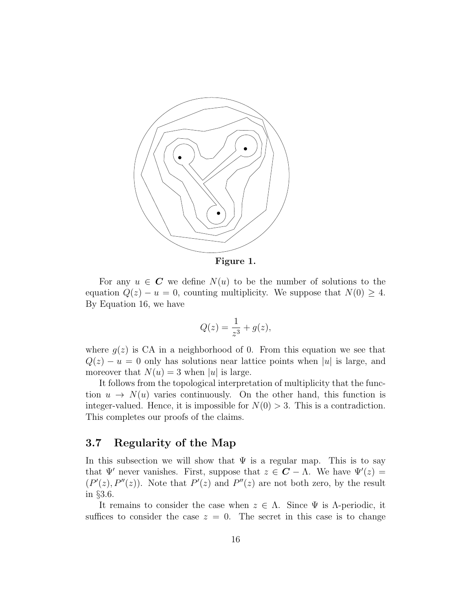

Figure 1.

For any  $u \in \mathbb{C}$  we define  $N(u)$  to be the number of solutions to the equation  $Q(z) - u = 0$ , counting multiplicity. We suppose that  $N(0) \geq 4$ . By Equation 16, we have

$$
Q(z) = \frac{1}{z^3} + g(z),
$$

where  $g(z)$  is CA in a neighborhood of 0. From this equation we see that  $Q(z) - u = 0$  only has solutions near lattice points when |u| is large, and moreover that  $N(u) = 3$  when |u| is large.

It follows from the topological interpretation of multiplicity that the function  $u \to N(u)$  varies continuously. On the other hand, this function is integer-valued. Hence, it is impossible for  $N(0) > 3$ . This is a contradiction. This completes our proofs of the claims.

### 3.7 Regularity of the Map

In this subsection we will show that  $\Psi$  is a regular map. This is to say that  $\Psi'$  never vanishes. First, suppose that  $z \in \mathbf{C} - \Lambda$ . We have  $\Psi'(z) =$  $(P'(z), P''(z))$ . Note that  $P'(z)$  and  $P''(z)$  are not both zero, by the result in §3.6.

It remains to consider the case when  $z \in \Lambda$ . Since  $\Psi$  is  $\Lambda$ -periodic, it suffices to consider the case  $z = 0$ . The secret in this case is to change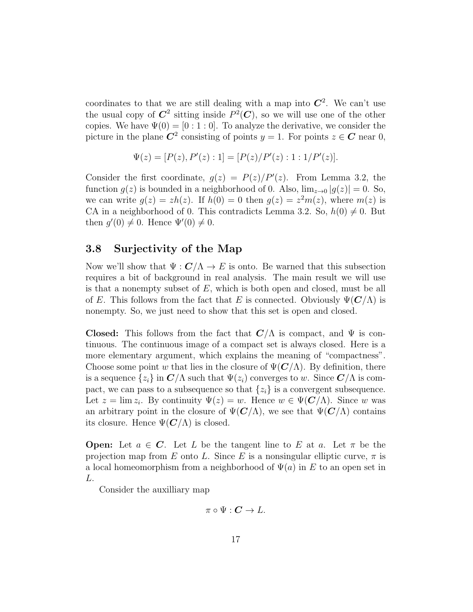coordinates to that we are still dealing with a map into  $\mathbb{C}^2$ . We can't use the usual copy of  $\mathbb{C}^2$  sitting inside  $P^2(\mathbb{C})$ , so we will use one of the other copies. We have  $\Psi(0) = [0:1:0]$ . To analyze the derivative, we consider the picture in the plane  $\mathbb{C}^2$  consisting of points  $y = 1$ . For points  $z \in \mathbb{C}$  near 0,

$$
\Psi(z) = [P(z), P'(z) : 1] = [P(z)/P'(z) : 1 : 1/P'(z)].
$$

Consider the first coordinate,  $g(z) = P(z)/P'(z)$ . From Lemma 3.2, the function  $g(z)$  is bounded in a neighborhood of 0. Also,  $\lim_{z\to 0} |g(z)| = 0$ . So, we can write  $g(z) = zh(z)$ . If  $h(0) = 0$  then  $g(z) = z<sup>2</sup>m(z)$ , where  $m(z)$  is CA in a neighborhood of 0. This contradicts Lemma 3.2. So,  $h(0) \neq 0$ . But then  $g'(0) \neq 0$ . Hence  $\Psi'(0) \neq 0$ .

#### 3.8 Surjectivity of the Map

Now we'll show that  $\Psi : \mathbf{C}/\Lambda \to E$  is onto. Be warned that this subsection requires a bit of background in real analysis. The main result we will use is that a nonempty subset of  $E$ , which is both open and closed, must be all of E. This follows from the fact that E is connected. Obviously  $\Psi(C/\Lambda)$  is nonempty. So, we just need to show that this set is open and closed.

**Closed:** This follows from the fact that  $C/\Lambda$  is compact, and  $\Psi$  is continuous. The continuous image of a compact set is always closed. Here is a more elementary argument, which explains the meaning of "compactness". Choose some point w that lies in the closure of  $\Psi(\mathbf{C}/\Lambda)$ . By definition, there is a sequence  $\{z_i\}$  in  $\mathbb{C}/\Lambda$  such that  $\Psi(z_i)$  converges to w. Since  $\mathbb{C}/\Lambda$  is compact, we can pass to a subsequence so that  $\{z_i\}$  is a convergent subsequence. Let  $z = \lim z_i$ . By continuity  $\Psi(z) = w$ . Hence  $w \in \Psi(\mathbf{C}/\Lambda)$ . Since w was an arbitrary point in the closure of  $\Psi(C/\Lambda)$ , we see that  $\Psi(C/\Lambda)$  contains its closure. Hence  $\Psi(C/\Lambda)$  is closed.

**Open:** Let  $a \in \mathbb{C}$ . Let L be the tangent line to E at a. Let  $\pi$  be the projection map from E onto L. Since E is a nonsingular elliptic curve,  $\pi$  is a local homeomorphism from a neighborhood of  $\Psi(a)$  in E to an open set in L.

Consider the auxilliary map

$$
\pi\circ\Psi:\mathbf{C}\to L.
$$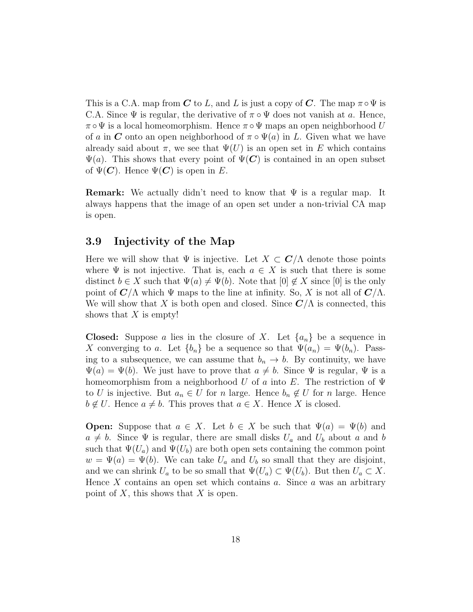This is a C.A. map from C to L, and L is just a copy of C. The map  $\pi \circ \Psi$  is C.A. Since  $\Psi$  is regular, the derivative of  $\pi \circ \Psi$  does not vanish at a. Hence,  $\pi \circ \Psi$  is a local homeomorphism. Hence  $\pi \circ \Psi$  maps an open neighborhood U of a in C onto an open neighborhood of  $\pi \circ \Psi(a)$  in L. Given what we have already said about  $\pi$ , we see that  $\Psi(U)$  is an open set in E which contains  $\Psi(a)$ . This shows that every point of  $\Psi(\mathbf{C})$  is contained in an open subset of  $\Psi(\mathbf{C})$ . Hence  $\Psi(\mathbf{C})$  is open in E.

**Remark:** We actually didn't need to know that  $\Psi$  is a regular map. It always happens that the image of an open set under a non-trivial CA map is open.

#### 3.9 Injectivity of the Map

Here we will show that  $\Psi$  is injective. Let  $X \subset \mathbb{C}/\Lambda$  denote those points where  $\Psi$  is not injective. That is, each  $a \in X$  is such that there is some distinct  $b \in X$  such that  $\Psi(a) \neq \Psi(b)$ . Note that  $[0] \notin X$  since  $[0]$  is the only point of  $\mathbb{C}/\Lambda$  which  $\Psi$  maps to the line at infinity. So, X is not all of  $\mathbb{C}/\Lambda$ . We will show that X is both open and closed. Since  $C/\Lambda$  is connected, this shows that  $X$  is empty!

**Closed:** Suppose a lies in the closure of X. Let  $\{a_n\}$  be a sequence in X converging to a. Let  ${b_n}$  be a sequence so that  $\Psi(a_n) = \Psi(b_n)$ . Passing to a subsequence, we can assume that  $b_n \to b$ . By continuity, we have  $\Psi(a) = \Psi(b)$ . We just have to prove that  $a \neq b$ . Since  $\Psi$  is regular,  $\Psi$  is a homeomorphism from a neighborhood U of a into E. The restriction of  $\Psi$ to U is injective. But  $a_n \in U$  for n large. Hence  $b_n \notin U$  for n large. Hence  $b \notin U$ . Hence  $a \neq b$ . This proves that  $a \in X$ . Hence X is closed.

**Open:** Suppose that  $a \in X$ . Let  $b \in X$  be such that  $\Psi(a) = \Psi(b)$  and  $a \neq b$ . Since  $\Psi$  is regular, there are small disks  $U_a$  and  $U_b$  about a and b such that  $\Psi(U_a)$  and  $\Psi(U_b)$  are both open sets containing the common point  $w = \Psi(a) = \Psi(b)$ . We can take  $U_a$  and  $U_b$  so small that they are disjoint, and we can shrink  $U_a$  to be so small that  $\Psi(U_a) \subset \Psi(U_b)$ . But then  $U_a \subset X$ . Hence  $X$  contains an open set which contains  $a$ . Since  $a$  was an arbitrary point of  $X$ , this shows that  $X$  is open.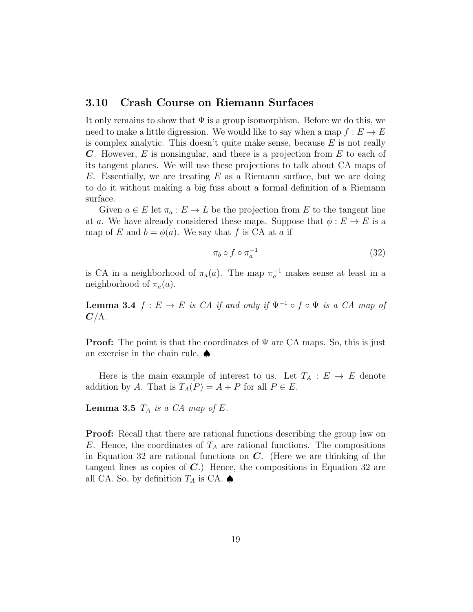#### 3.10 Crash Course on Riemann Surfaces

It only remains to show that  $\Psi$  is a group isomorphism. Before we do this, we need to make a little digression. We would like to say when a map  $f: E \to E$ is complex analytic. This doesn't quite make sense, because  $E$  is not really C. However,  $E$  is nonsingular, and there is a projection from  $E$  to each of its tangent planes. We will use these projections to talk about CA maps of E. Essentially, we are treating  $E$  as a Riemann surface, but we are doing to do it without making a big fuss about a formal definition of a Riemann surface.

Given  $a \in E$  let  $\pi_a : E \to L$  be the projection from E to the tangent line at a. We have already considered these maps. Suppose that  $\phi : E \to E$  is a map of E and  $b = \phi(a)$ . We say that f is CA at a if

$$
\pi_b \circ f \circ \pi_a^{-1} \tag{32}
$$

is CA in a neighborhood of  $\pi_a(a)$ . The map  $\pi_a^{-1}$  makes sense at least in a neighborhood of  $\pi_a(a)$ .

**Lemma 3.4**  $f : E \to E$  is CA if and only if  $\Psi^{-1} \circ f \circ \Psi$  is a CA map of  $C/\Lambda$ .

**Proof:** The point is that the coordinates of  $\Psi$  are CA maps. So, this is just an exercise in the chain rule. ♠

Here is the main example of interest to us. Let  $T_A : E \to E$  denote addition by A. That is  $T_A(P) = A + P$  for all  $P \in E$ .

**Lemma 3.5**  $T_A$  is a CA map of E.

Proof: Recall that there are rational functions describing the group law on E. Hence, the coordinates of  $T_A$  are rational functions. The compositions in Equation 32 are rational functions on  $C$ . (Here we are thinking of the tangent lines as copies of  $C$ .) Hence, the compositions in Equation 32 are all CA. So, by definition  $T_A$  is CA.  $\spadesuit$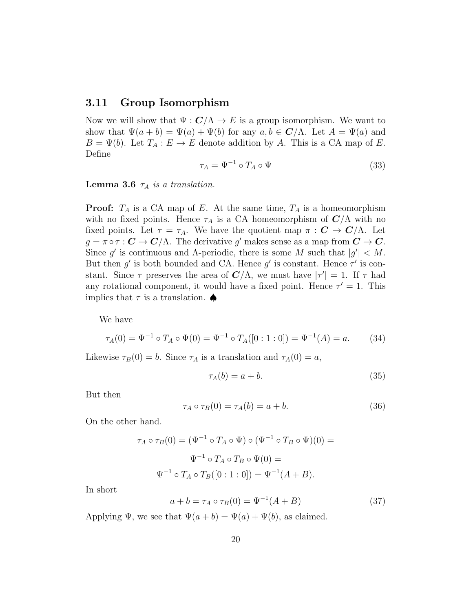#### 3.11 Group Isomorphism

Now we will show that  $\Psi : \mathbf{C}/\Lambda \to E$  is a group isomorphism. We want to show that  $\Psi(a+b) = \Psi(a) + \Psi(b)$  for any  $a, b \in \mathbb{C}/\Lambda$ . Let  $A = \Psi(a)$  and  $B = \Psi(b)$ . Let  $T_A : E \to E$  denote addition by A. This is a CA map of E. Define

$$
\tau_A = \Psi^{-1} \circ T_A \circ \Psi \tag{33}
$$

**Lemma 3.6**  $\tau_A$  is a translation.

**Proof:**  $T_A$  is a CA map of E. At the same time,  $T_A$  is a homeomorphism with no fixed points. Hence  $\tau_A$  is a CA homeomorphism of  $\mathbb{C}/\Lambda$  with no fixed points. Let  $\tau = \tau_A$ . We have the quotient map  $\pi : \mathbf{C} \to \mathbf{C}/\Lambda$ . Let  $g = \pi \circ \tau : \mathbf{C} \to \mathbf{C}/\Lambda$ . The derivative g' makes sense as a map from  $\mathbf{C} \to \mathbf{C}$ . Since g' is continuous and  $\Lambda$ -periodic, there is some  $M$  such that  $|g'| < M$ . But then  $g'$  is both bounded and CA. Hence  $g'$  is constant. Hence  $\tau'$  is constant. Since  $\tau$  preserves the area of  $\mathbb{C}/\Lambda$ , we must have  $|\tau'| = 1$ . If  $\tau$  had any rotational component, it would have a fixed point. Hence  $\tau' = 1$ . This implies that  $\tau$  is a translation.  $\spadesuit$ 

We have

$$
\tau_A(0) = \Psi^{-1} \circ T_A \circ \Psi(0) = \Psi^{-1} \circ T_A([0:1:0]) = \Psi^{-1}(A) = a.
$$
 (34)

Likewise  $\tau_B(0) = b$ . Since  $\tau_A$  is a translation and  $\tau_A(0) = a$ ,

$$
\tau_A(b) = a + b. \tag{35}
$$

But then

$$
\tau_A \circ \tau_B(0) = \tau_A(b) = a + b. \tag{36}
$$

On the other hand.

$$
\tau_A \circ \tau_B(0) = (\Psi^{-1} \circ T_A \circ \Psi) \circ (\Psi^{-1} \circ T_B \circ \Psi)(0) =
$$
  

$$
\Psi^{-1} \circ T_A \circ T_B \circ \Psi(0) =
$$
  

$$
\Psi^{-1} \circ T_A \circ T_B([0:1:0]) = \Psi^{-1}(A+B).
$$

In short

$$
a + b = \tau_A \circ \tau_B(0) = \Psi^{-1}(A + B) \tag{37}
$$

Applying  $\Psi$ , we see that  $\Psi(a+b) = \Psi(a) + \Psi(b)$ , as claimed.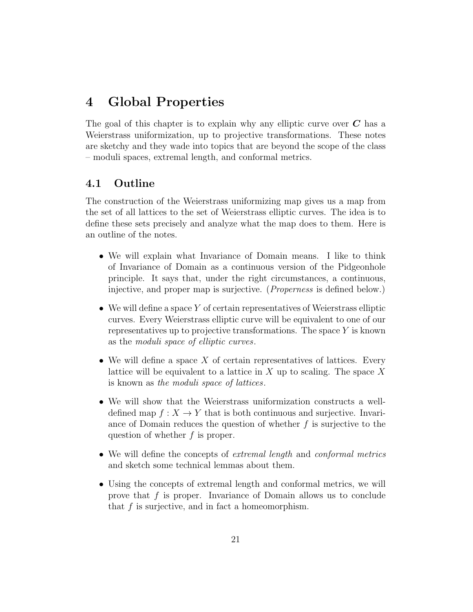## 4 Global Properties

The goal of this chapter is to explain why any elliptic curve over  $C$  has a Weierstrass uniformization, up to projective transformations. These notes are sketchy and they wade into topics that are beyond the scope of the class – moduli spaces, extremal length, and conformal metrics.

## 4.1 Outline

The construction of the Weierstrass uniformizing map gives us a map from the set of all lattices to the set of Weierstrass elliptic curves. The idea is to define these sets precisely and analyze what the map does to them. Here is an outline of the notes.

- We will explain what Invariance of Domain means. I like to think of Invariance of Domain as a continuous version of the Pidgeonhole principle. It says that, under the right circumstances, a continuous, injective, and proper map is surjective. (Properness is defined below.)
- We will define a space Y of certain representatives of Weierstrass elliptic curves. Every Weierstrass elliptic curve will be equivalent to one of our representatives up to projective transformations. The space  $Y$  is known as the moduli space of elliptic curves.
- We will define a space X of certain representatives of lattices. Every lattice will be equivalent to a lattice in  $X$  up to scaling. The space  $X$ is known as the moduli space of lattices.
- We will show that the Weierstrass uniformization constructs a welldefined map  $f: X \to Y$  that is both continuous and surjective. Invariance of Domain reduces the question of whether  $f$  is surjective to the question of whether  $f$  is proper.
- We will define the concepts of *extremal length* and *conformal metrics* and sketch some technical lemmas about them.
- Using the concepts of extremal length and conformal metrics, we will prove that f is proper. Invariance of Domain allows us to conclude that f is surjective, and in fact a homeomorphism.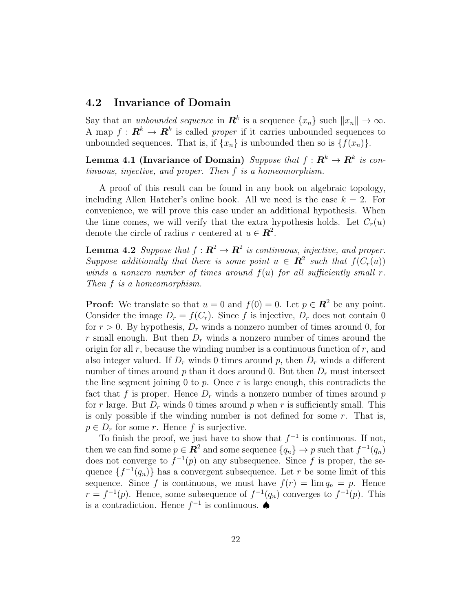### 4.2 Invariance of Domain

Say that an *unbounded sequence* in  $\mathbf{R}^k$  is a sequence  $\{x_n\}$  such  $||x_n|| \to \infty$ . A map  $f: \mathbf{R}^k \to \mathbf{R}^k$  is called *proper* if it carries unbounded sequences to unbounded sequences. That is, if  $\{x_n\}$  is unbounded then so is  $\{f(x_n)\}.$ 

Lemma 4.1 (Invariance of Domain) Suppose that  $f: \mathbf{R}^k \to \mathbf{R}^k$  is continuous, injective, and proper. Then f is a homeomorphism.

A proof of this result can be found in any book on algebraic topology, including Allen Hatcher's online book. All we need is the case  $k = 2$ . For convenience, we will prove this case under an additional hypothesis. When the time comes, we will verify that the extra hypothesis holds. Let  $C_r(u)$ denote the circle of radius r centered at  $u \in \mathbb{R}^2$ .

**Lemma 4.2** Suppose that  $f: \mathbb{R}^2 \to \mathbb{R}^2$  is continuous, injective, and proper. Suppose additionally that there is some point  $u \in \mathbb{R}^2$  such that  $f(C_r(u))$ winds a nonzero number of times around  $f(u)$  for all sufficiently small r. Then f is a homeomorphism.

**Proof:** We translate so that  $u = 0$  and  $f(0) = 0$ . Let  $p \in \mathbb{R}^2$  be any point. Consider the image  $D_r = f(C_r)$ . Since f is injective,  $D_r$  does not contain 0 for  $r > 0$ . By hypothesis,  $D<sub>r</sub>$  winds a nonzero number of times around 0, for r small enough. But then  $D<sub>r</sub>$  winds a nonzero number of times around the origin for all  $r$ , because the winding number is a continuous function of  $r$ , and also integer valued. If  $D_r$  winds 0 times around p, then  $D_r$  winds a different number of times around p than it does around 0. But then  $D<sub>r</sub>$  must intersect the line segment joining 0 to p. Once r is large enough, this contradicts the fact that f is proper. Hence  $D<sub>r</sub>$  winds a nonzero number of times around p for r large. But  $D_r$  winds 0 times around p when r is sufficiently small. This is only possible if the winding number is not defined for some  $r$ . That is,  $p \in D_r$  for some r. Hence f is surjective.

To finish the proof, we just have to show that  $f^{-1}$  is continuous. If not, then we can find some  $p \in \mathbb{R}^2$  and some sequence  $\{q_n\} \to p$  such that  $f^{-1}(q_n)$ does not converge to  $f^{-1}(p)$  on any subsequence. Since f is proper, the sequence  $\{f^{-1}(q_n)\}\)$  has a convergent subsequence. Let r be some limit of this sequence. Since f is continuous, we must have  $f(r) = \lim q_n = p$ . Hence  $r = f^{-1}(p)$ . Hence, some subsequence of  $f^{-1}(q_n)$  converges to  $f^{-1}(p)$ . This is a contradiction. Hence  $f^{-1}$  is continuous.  $\spadesuit$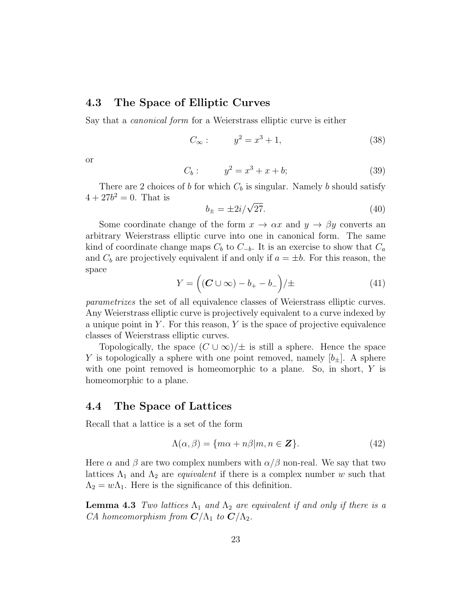#### 4.3 The Space of Elliptic Curves

Say that a canonical form for a Weierstrass elliptic curve is either

$$
C_{\infty} : y^2 = x^3 + 1,
$$
 (38)

or

$$
C_b: \t y^2 = x^3 + x + b; \t (39)
$$

There are 2 choices of b for which  $C_b$  is singular. Namely b should satisfy  $4 + 27b^2 = 0$ . That is

$$
b_{\pm} = \pm 2i/\sqrt{27}.\tag{40}
$$

Some coordinate change of the form  $x \to \alpha x$  and  $y \to \beta y$  converts an arbitrary Weierstrass elliptic curve into one in canonical form. The same kind of coordinate change maps  $C_b$  to  $C_{-b}$ . It is an exercise to show that  $C_a$ and  $C_b$  are projectively equivalent if and only if  $a = \pm b$ . For this reason, the space

$$
Y = \left( (C \cup \infty) - b_{+} - b_{-} \right) / \pm \tag{41}
$$

parametrizes the set of all equivalence classes of Weierstrass elliptic curves. Any Weierstrass elliptic curve is projectively equivalent to a curve indexed by a unique point in  $Y$ . For this reason,  $Y$  is the space of projective equivalence classes of Weierstrass elliptic curves.

Topologically, the space  $(C \cup \infty)/\pm$  is still a sphere. Hence the space Y is topologically a sphere with one point removed, namely  $[b_+]$ . A sphere with one point removed is homeomorphic to a plane. So, in short, Y is homeomorphic to a plane.

#### 4.4 The Space of Lattices

Recall that a lattice is a set of the form

$$
\Lambda(\alpha, \beta) = \{m\alpha + n\beta | m, n \in \mathbb{Z}\}.
$$
 (42)

Here  $\alpha$  and  $\beta$  are two complex numbers with  $\alpha/\beta$  non-real. We say that two lattices  $\Lambda_1$  and  $\Lambda_2$  are *equivalent* if there is a complex number w such that  $\Lambda_2 = w \Lambda_1$ . Here is the significance of this definition.

**Lemma 4.3** Two lattices  $\Lambda_1$  and  $\Lambda_2$  are equivalent if and only if there is a CA homeomorphism from  $C/\Lambda_1$  to  $C/\Lambda_2$ .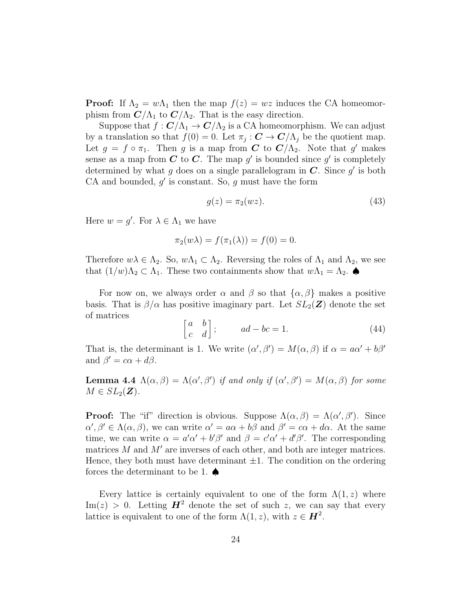**Proof:** If  $\Lambda_2 = w\Lambda_1$  then the map  $f(z) = wz$  induces the CA homeomorphism from  $\mathbb{C}/\Lambda_1$  to  $\mathbb{C}/\Lambda_2$ . That is the easy direction.

Suppose that  $f: \mathbf{C}/\Lambda_1 \to \mathbf{C}/\Lambda_2$  is a CA homeomorphism. We can adjust by a translation so that  $f(0) = 0$ . Let  $\pi_j : \mathbf{C} \to \mathbf{C}/\Lambda_j$  be the quotient map. Let  $g = f \circ \pi_1$ . Then g is a map from C to  $C/\Lambda_2$ . Note that g' makes sense as a map from C to C. The map  $g'$  is bounded since  $g'$  is completely determined by what g does on a single parallelogram in  $C$ . Since g' is both CA and bounded,  $g'$  is constant. So,  $g$  must have the form

$$
g(z) = \pi_2(wz). \tag{43}
$$

Here  $w = g'$ . For  $\lambda \in \Lambda_1$  we have

$$
\pi_2(w\lambda) = f(\pi_1(\lambda)) = f(0) = 0.
$$

Therefore  $w\lambda \in \Lambda_2$ . So,  $w\Lambda_1 \subset \Lambda_2$ . Reversing the roles of  $\Lambda_1$  and  $\Lambda_2$ , we see that  $(1/w)\Lambda_2 \subset \Lambda_1$ . These two containments show that  $w\Lambda_1 = \Lambda_2$ .

For now on, we always order  $\alpha$  and  $\beta$  so that  $\{\alpha, \beta\}$  makes a positive basis. That is  $\beta/\alpha$  has positive imaginary part. Let  $SL_2(\mathbf{Z})$  denote the set of matrices

$$
\begin{bmatrix} a & b \\ c & d \end{bmatrix}; \qquad ad - bc = 1.
$$
 (44)

That is, the determinant is 1. We write  $(\alpha', \beta') = M(\alpha, \beta)$  if  $\alpha = a\alpha' + b\beta'$ and  $\beta' = c\alpha + d\beta$ .

**Lemma 4.4**  $\Lambda(\alpha, \beta) = \Lambda(\alpha', \beta')$  if and only if  $(\alpha', \beta') = M(\alpha, \beta)$  for some  $M \in SL_2(\mathbf{Z}).$ 

**Proof:** The "if" direction is obvious. Suppose  $\Lambda(\alpha, \beta) = \Lambda(\alpha', \beta')$ . Since  $\alpha', \beta' \in \Lambda(\alpha, \beta)$ , we can write  $\alpha' = a\alpha + b\beta$  and  $\beta' = c\alpha + d\alpha$ . At the same time, we can write  $\alpha = a'\alpha' + b'\beta'$  and  $\beta = c'\alpha' + d'\beta'$ . The corresponding matrices M and M′ are inverses of each other, and both are integer matrices. Hence, they both must have determinant  $\pm 1$ . The condition on the ordering forces the determinant to be 1.  $\spadesuit$ 

Every lattice is certainly equivalent to one of the form  $\Lambda(1, z)$  where  $\text{Im}(z) > 0$ . Letting  $\mathbf{H}^2$  denote the set of such z, we can say that every lattice is equivalent to one of the form  $\Lambda(1, z)$ , with  $z \in \mathbf{H}^2$ .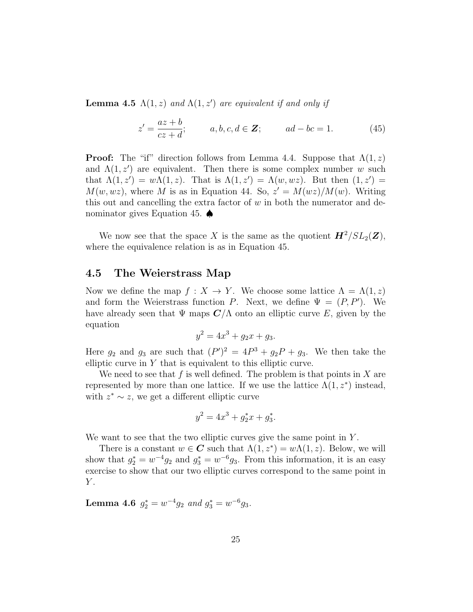**Lemma 4.5**  $\Lambda(1, z)$  and  $\Lambda(1, z')$  are equivalent if and only if

$$
z' = \frac{az+b}{cz+d}; \qquad a, b, c, d \in \mathbf{Z}; \qquad ad - bc = 1.
$$
 (45)

**Proof:** The "if" direction follows from Lemma 4.4. Suppose that  $\Lambda(1, z)$ and  $\Lambda(1, z')$  are equivalent. Then there is some complex number w such that  $\Lambda(1, z') = w\Lambda(1, z)$ . That is  $\Lambda(1, z') = \Lambda(w, wz)$ . But then  $(1, z') =$  $M(w, wz)$ , where M is as in Equation 44. So,  $z' = M(wz)/M(w)$ . Writing this out and cancelling the extra factor of  $w$  in both the numerator and denominator gives Equation 45. ♦

We now see that the space X is the same as the quotient  $\mathbf{H}^2/SL_2(\mathbf{Z})$ , where the equivalence relation is as in Equation 45.

#### 4.5 The Weierstrass Map

Now we define the map  $f: X \to Y$ . We choose some lattice  $\Lambda = \Lambda(1, z)$ and form the Weierstrass function P. Next, we define  $\Psi = (P, P')$ . We have already seen that  $\Psi$  maps  $\mathbb{C}/\Lambda$  onto an elliptic curve E, given by the equation

$$
y^2 = 4x^3 + g_2x + g_3.
$$

Here  $g_2$  and  $g_3$  are such that  $(P')^2 = 4P^3 + g_2P + g_3$ . We then take the elliptic curve in  $Y$  that is equivalent to this elliptic curve.

We need to see that f is well defined. The problem is that points in X are represented by more than one lattice. If we use the lattice  $\Lambda(1, z^*)$  instead, with  $z^* \sim z$ , we get a different elliptic curve

$$
y^2 = 4x^3 + g_2^*x + g_3^*.
$$

We want to see that the two elliptic curves give the same point in  $Y$ .

There is a constant  $w \in \mathbb{C}$  such that  $\Lambda(1, z^*) = w \Lambda(1, z)$ . Below, we will show that  $g_2^* = w^{-4}g_2$  and  $g_3^* = w^{-6}g_3$ . From this information, it is an easy exercise to show that our two elliptic curves correspond to the same point in  $Y$ .

Lemma 4.6  $g_2^* = w^{-4}g_2$  and  $g_3^* = w^{-6}g_3$ .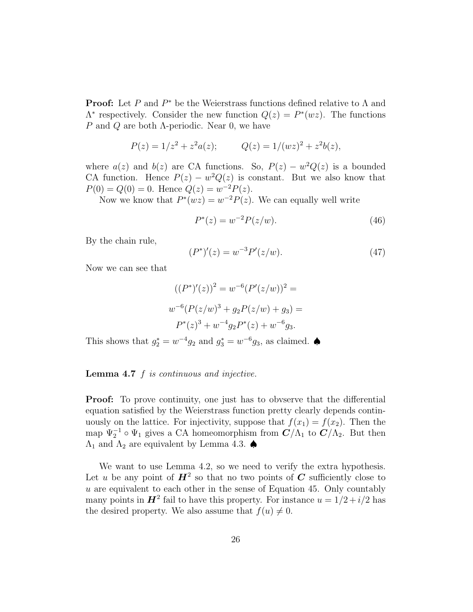**Proof:** Let P and  $P^*$  be the Weierstrass functions defined relative to  $\Lambda$  and  $\Lambda^*$  respectively. Consider the new function  $Q(z) = P^*(wz)$ . The functions P and Q are both  $\Lambda$ -periodic. Near 0, we have

$$
P(z) = 1/z^2 + z^2 a(z); \qquad Q(z) = 1/(wz)^2 + z^2 b(z),
$$

where  $a(z)$  and  $b(z)$  are CA functions. So,  $P(z) - w^2 Q(z)$  is a bounded CA function. Hence  $P(z) - w^2 Q(z)$  is constant. But we also know that  $P(0) = Q(0) = 0$ . Hence  $Q(z) = w^{-2}P(z)$ .

Now we know that  $P^*(wz) = w^{-2}P(z)$ . We can equally well write

$$
P^*(z) = w^{-2} P(z/w).
$$
 (46)

By the chain rule,

$$
(P^*)'(z) = w^{-3} P'(z/w).
$$
 (47)

Now we can see that

$$
((P^*)'(z))^2 = w^{-6}(P'(z/w))^2 =
$$
  

$$
w^{-6}(P(z/w)^3 + g_2P(z/w) + g_3) =
$$
  

$$
P^*(z)^3 + w^{-4}g_2P^*(z) + w^{-6}g_3.
$$

This shows that  $g_2^* = w^{-4}g_2$  and  $g_3^* = w^{-6}g_3$ , as claimed.  $\spadesuit$ 

#### **Lemma 4.7**  $f$  is continuous and injective.

**Proof:** To prove continuity, one just has to obvserve that the differential equation satisfied by the Weierstrass function pretty clearly depends continuously on the lattice. For injectivity, suppose that  $f(x_1) = f(x_2)$ . Then the map  $\Psi_2^{-1} \circ \Psi_1$  gives a CA homeomorphism from  $\mathbf{C}/\Lambda_1$  to  $\mathbf{C}/\Lambda_2$ . But then  $\Lambda_1$  and  $\Lambda_2$  are equivalent by Lemma 4.3.  $\spadesuit$ 

We want to use Lemma 4.2, so we need to verify the extra hypothesis. Let u be any point of  $H^2$  so that no two points of  $C$  sufficiently close to  $u$  are equivalent to each other in the sense of Equation 45. Only countably many points in  $\mathbf{H}^2$  fail to have this property. For instance  $u = 1/2 + i/2$  has the desired property. We also assume that  $f(u) \neq 0$ .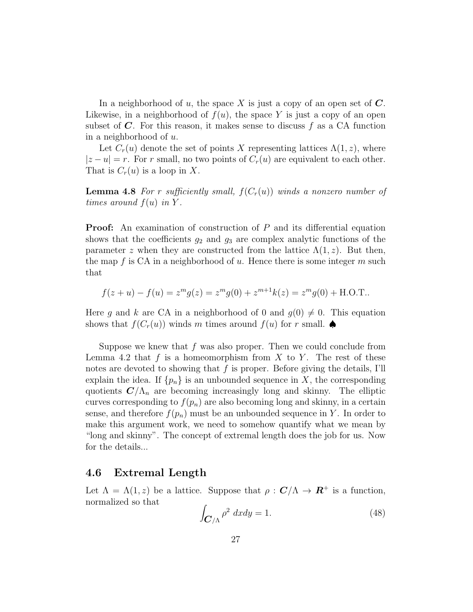In a neighborhood of u, the space X is just a copy of an open set of  $C$ . Likewise, in a neighborhood of  $f(u)$ , the space Y is just a copy of an open subset of  $C$ . For this reason, it makes sense to discuss f as a CA function in a neighborhood of u.

Let  $C_r(u)$  denote the set of points X representing lattices  $\Lambda(1, z)$ , where  $|z-u|=r$ . For r small, no two points of  $C_r(u)$  are equivalent to each other. That is  $C_r(u)$  is a loop in X.

**Lemma 4.8** For r sufficiently small,  $f(C_r(u))$  winds a nonzero number of times around  $f(u)$  in Y.

**Proof:** An examination of construction of P and its differential equation shows that the coefficients  $g_2$  and  $g_3$  are complex analytic functions of the parameter z when they are constructed from the lattice  $\Lambda(1, z)$ . But then, the map f is CA in a neighborhood of u. Hence there is some integer  $m$  such that

$$
f(z+u) - f(u) = zmg(z) = zmg(0) + zm+1k(z) = zmg(0) + \text{H.O.T.}.
$$

Here g and k are CA in a neighborhood of 0 and  $g(0) \neq 0$ . This equation shows that  $f(C_r(u))$  winds m times around  $f(u)$  for r small.  $\spadesuit$ 

Suppose we knew that  $f$  was also proper. Then we could conclude from Lemma 4.2 that f is a homeomorphism from X to Y. The rest of these notes are devoted to showing that  $f$  is proper. Before giving the details, I'll explain the idea. If  $\{p_n\}$  is an unbounded sequence in X, the corresponding quotients  $\mathbf{C}/\Lambda_n$  are becoming increasingly long and skinny. The elliptic curves corresponding to  $f(p_n)$  are also becoming long and skinny, in a certain sense, and therefore  $f(p_n)$  must be an unbounded sequence in Y. In order to make this argument work, we need to somehow quantify what we mean by "long and skinny". The concept of extremal length does the job for us. Now for the details...

#### 4.6 Extremal Length

Let  $\Lambda = \Lambda(1, z)$  be a lattice. Suppose that  $\rho : \mathbf{C}/\Lambda \to \mathbf{R}^+$  is a function, normalized so that

$$
\int_{\mathbf{C}/\Lambda} \rho^2 \, dx dy = 1. \tag{48}
$$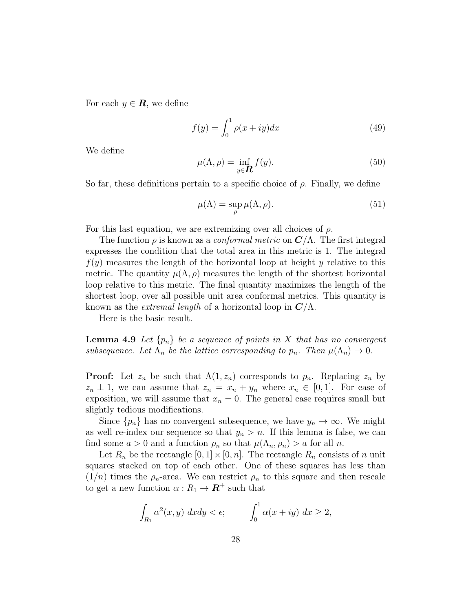For each  $y \in \mathbf{R}$ , we define

$$
f(y) = \int_0^1 \rho(x+iy)dx\tag{49}
$$

We define

$$
\mu(\Lambda, \rho) = \inf_{y \in \mathbf{R}} f(y). \tag{50}
$$

So far, these definitions pertain to a specific choice of  $\rho$ . Finally, we define

$$
\mu(\Lambda) = \sup_{\rho} \mu(\Lambda, \rho).
$$
\n(51)

For this last equation, we are extremizing over all choices of  $\rho$ .

The function  $\rho$  is known as a *conformal metric* on  $\mathbf{C}/\Lambda$ . The first integral expresses the condition that the total area in this metric is 1. The integral  $f(y)$  measures the length of the horizontal loop at height y relative to this metric. The quantity  $\mu(\Lambda,\rho)$  measures the length of the shortest horizontal loop relative to this metric. The final quantity maximizes the length of the shortest loop, over all possible unit area conformal metrics. This quantity is known as the *extremal length* of a horizontal loop in  $\mathbb{C}/\Lambda$ .

Here is the basic result.

**Lemma 4.9** Let  $\{p_n\}$  be a sequence of points in X that has no convergent subsequence. Let  $\Lambda_n$  be the lattice corresponding to  $p_n$ . Then  $\mu(\Lambda_n) \to 0$ .

**Proof:** Let  $z_n$  be such that  $\Lambda(1, z_n)$  corresponds to  $p_n$ . Replacing  $z_n$  by  $z_n \pm 1$ , we can assume that  $z_n = x_n + y_n$  where  $x_n \in [0,1]$ . For ease of exposition, we will assume that  $x_n = 0$ . The general case requires small but slightly tedious modifications.

Since  $\{p_n\}$  has no convergent subsequence, we have  $y_n \to \infty$ . We might as well re-index our sequence so that  $y_n > n$ . If this lemma is false, we can find some  $a > 0$  and a function  $\rho_n$  so that  $\mu(\Lambda_n, \rho_n) > a$  for all n.

Let  $R_n$  be the rectangle  $[0, 1] \times [0, n]$ . The rectangle  $R_n$  consists of n unit squares stacked on top of each other. One of these squares has less than  $(1/n)$  times the  $\rho_n$ -area. We can restrict  $\rho_n$  to this square and then rescale to get a new function  $\alpha: R_1 \to \mathbf{R}^+$  such that

$$
\int_{R_1} \alpha^2(x, y) \ dx dy < \epsilon; \qquad \int_0^1 \alpha(x + iy) \ dx \ge 2,
$$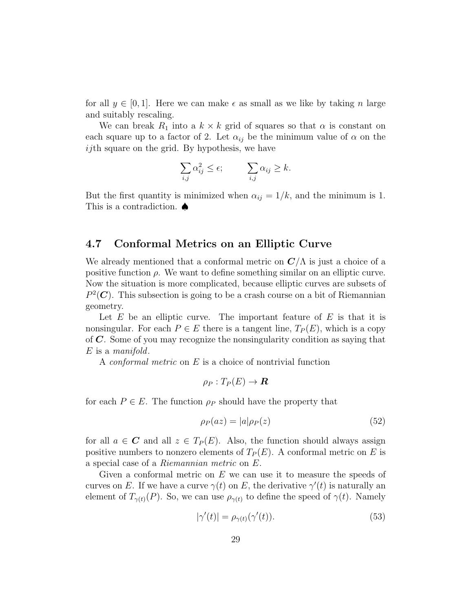for all  $y \in [0, 1]$ . Here we can make  $\epsilon$  as small as we like by taking n large and suitably rescaling.

We can break  $R_1$  into a  $k \times k$  grid of squares so that  $\alpha$  is constant on each square up to a factor of 2. Let  $\alpha_{ij}$  be the minimum value of  $\alpha$  on the ijth square on the grid. By hypothesis, we have

$$
\sum_{i,j} \alpha_{ij}^2 \le \epsilon; \qquad \sum_{i,j} \alpha_{ij} \ge k.
$$

But the first quantity is minimized when  $\alpha_{ij} = 1/k$ , and the minimum is 1. This is a contradiction. ♠

## 4.7 Conformal Metrics on an Elliptic Curve

We already mentioned that a conformal metric on  $\mathbb{C}/\Lambda$  is just a choice of a positive function  $\rho$ . We want to define something similar on an elliptic curve. Now the situation is more complicated, because elliptic curves are subsets of  $P^2(\mathbf{C})$ . This subsection is going to be a crash course on a bit of Riemannian geometry.

Let  $E$  be an elliptic curve. The important feature of  $E$  is that it is nonsingular. For each  $P \in E$  there is a tangent line,  $T_P(E)$ , which is a copy of  $C$ . Some of you may recognize the nonsingularity condition as saying that E is a manifold.

A conformal metric on E is a choice of nontrivial function

$$
\rho_P: T_P(E) \to \boldsymbol{R}
$$

for each  $P \in E$ . The function  $\rho_P$  should have the property that

$$
\rho_P(az) = |a|\rho_P(z) \tag{52}
$$

for all  $a \in \mathbf{C}$  and all  $z \in T_P(E)$ . Also, the function should always assign positive numbers to nonzero elements of  $T_P(E)$ . A conformal metric on E is a special case of a Riemannian metric on E.

Given a conformal metric on  $E$  we can use it to measure the speeds of curves on E. If we have a curve  $\gamma(t)$  on E, the derivative  $\gamma'(t)$  is naturally an element of  $T_{\gamma(t)}(P)$ . So, we can use  $\rho_{\gamma(t)}$  to define the speed of  $\gamma(t)$ . Namely

$$
|\gamma'(t)| = \rho_{\gamma(t)}(\gamma'(t)).\tag{53}
$$